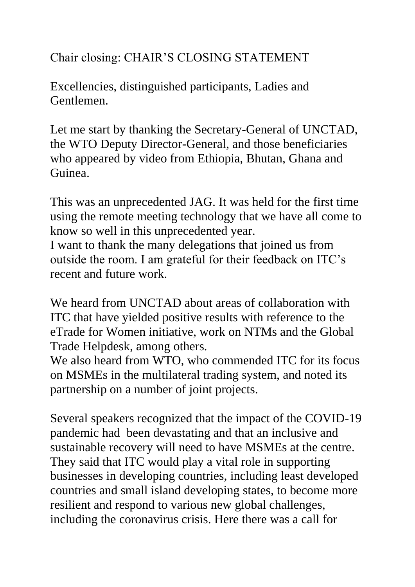Chair closing: CHAIR'S CLOSING STATEMENT

Excellencies, distinguished participants, Ladies and Gentlemen.

Let me start by thanking the Secretary-General of UNCTAD, the WTO Deputy Director-General, and those beneficiaries who appeared by video from Ethiopia, Bhutan, Ghana and Guinea.

This was an unprecedented JAG. It was held for the first time using the remote meeting technology that we have all come to know so well in this unprecedented year.

I want to thank the many delegations that joined us from outside the room. I am grateful for their feedback on ITC's recent and future work.

We heard from UNCTAD about areas of collaboration with ITC that have yielded positive results with reference to the eTrade for Women initiative, work on NTMs and the Global Trade Helpdesk, among others.

We also heard from WTO, who commended ITC for its focus on MSMEs in the multilateral trading system, and noted its partnership on a number of joint projects.

Several speakers recognized that the impact of the COVID-19 pandemic had been devastating and that an inclusive and sustainable recovery will need to have MSMEs at the centre. They said that ITC would play a vital role in supporting businesses in developing countries, including least developed countries and small island developing states, to become more resilient and respond to various new global challenges, including the coronavirus crisis. Here there was a call for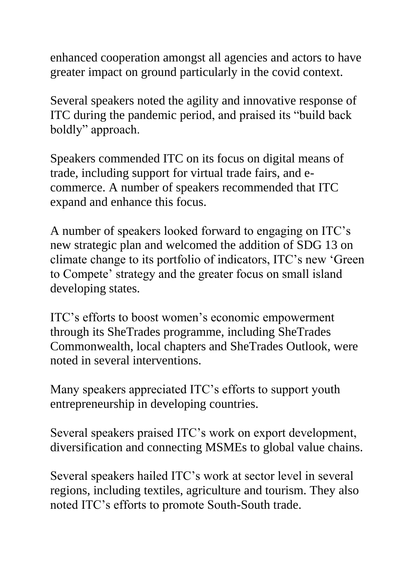enhanced cooperation amongst all agencies and actors to have greater impact on ground particularly in the covid context.

Several speakers noted the agility and innovative response of ITC during the pandemic period, and praised its "build back boldly" approach.

Speakers commended ITC on its focus on digital means of trade, including support for virtual trade fairs, and ecommerce. A number of speakers recommended that ITC expand and enhance this focus.

A number of speakers looked forward to engaging on ITC's new strategic plan and welcomed the addition of SDG 13 on climate change to its portfolio of indicators, ITC's new 'Green to Compete' strategy and the greater focus on small island developing states.

ITC's efforts to boost women's economic empowerment through its SheTrades programme, including SheTrades Commonwealth, local chapters and SheTrades Outlook, were noted in several interventions.

Many speakers appreciated ITC's efforts to support youth entrepreneurship in developing countries.

Several speakers praised ITC's work on export development, diversification and connecting MSMEs to global value chains.

Several speakers hailed ITC's work at sector level in several regions, including textiles, agriculture and tourism. They also noted ITC's efforts to promote South-South trade.